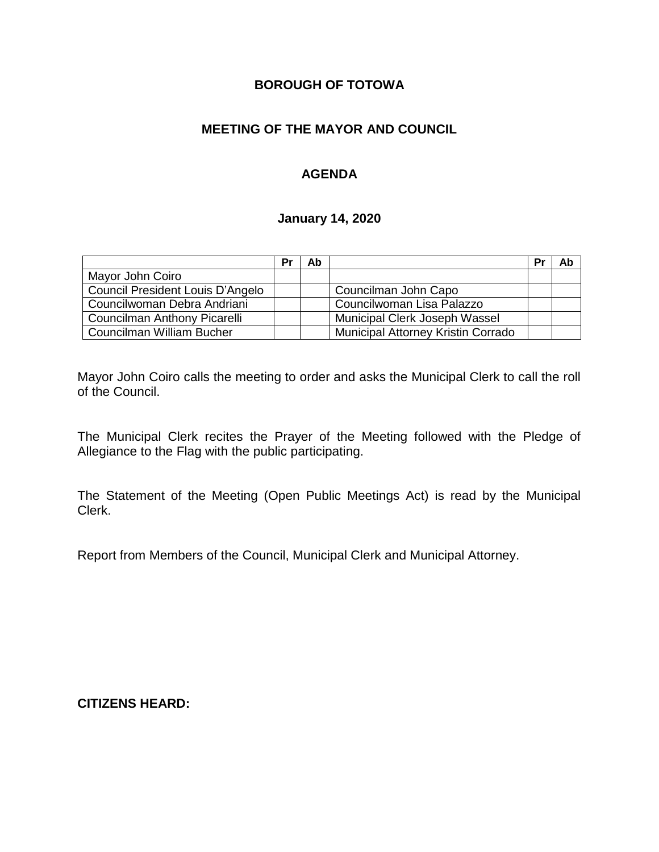## **BOROUGH OF TOTOWA**

## **MEETING OF THE MAYOR AND COUNCIL**

## **AGENDA**

#### **January 14, 2020**

|                                  | Pr | Ab |                                    | Pr | Ab |
|----------------------------------|----|----|------------------------------------|----|----|
| Mayor John Coiro                 |    |    |                                    |    |    |
| Council President Louis D'Angelo |    |    | Councilman John Capo               |    |    |
| Councilwoman Debra Andriani      |    |    | Councilwoman Lisa Palazzo          |    |    |
| Councilman Anthony Picarelli     |    |    | Municipal Clerk Joseph Wassel      |    |    |
| Councilman William Bucher        |    |    | Municipal Attorney Kristin Corrado |    |    |

Mayor John Coiro calls the meeting to order and asks the Municipal Clerk to call the roll of the Council.

The Municipal Clerk recites the Prayer of the Meeting followed with the Pledge of Allegiance to the Flag with the public participating.

The Statement of the Meeting (Open Public Meetings Act) is read by the Municipal Clerk.

Report from Members of the Council, Municipal Clerk and Municipal Attorney.

**CITIZENS HEARD:**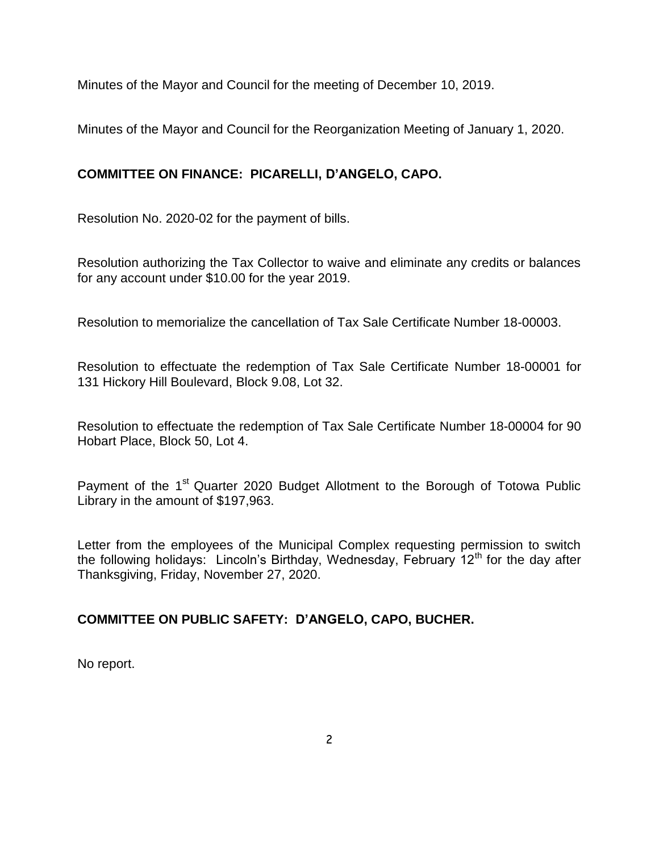Minutes of the Mayor and Council for the meeting of December 10, 2019.

Minutes of the Mayor and Council for the Reorganization Meeting of January 1, 2020.

# **COMMITTEE ON FINANCE: PICARELLI, D'ANGELO, CAPO.**

Resolution No. 2020-02 for the payment of bills.

Resolution authorizing the Tax Collector to waive and eliminate any credits or balances for any account under \$10.00 for the year 2019.

Resolution to memorialize the cancellation of Tax Sale Certificate Number 18-00003.

Resolution to effectuate the redemption of Tax Sale Certificate Number 18-00001 for 131 Hickory Hill Boulevard, Block 9.08, Lot 32.

Resolution to effectuate the redemption of Tax Sale Certificate Number 18-00004 for 90 Hobart Place, Block 50, Lot 4.

Payment of the 1<sup>st</sup> Quarter 2020 Budget Allotment to the Borough of Totowa Public Library in the amount of \$197,963.

Letter from the employees of the Municipal Complex requesting permission to switch the following holidays: Lincoln's Birthday, Wednesday, February 12<sup>th</sup> for the day after Thanksgiving, Friday, November 27, 2020.

# **COMMITTEE ON PUBLIC SAFETY: D'ANGELO, CAPO, BUCHER.**

No report.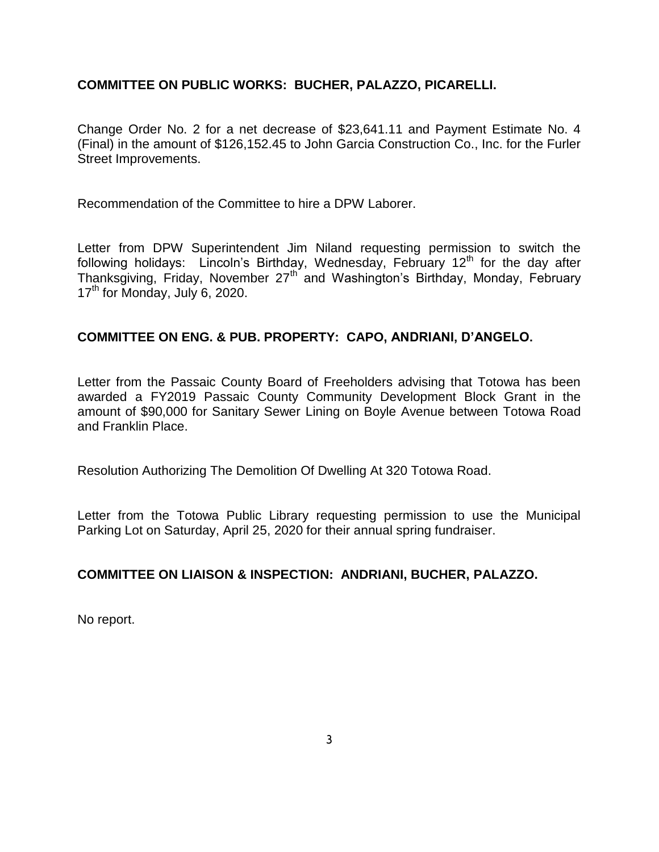#### **COMMITTEE ON PUBLIC WORKS: BUCHER, PALAZZO, PICARELLI.**

Change Order No. 2 for a net decrease of \$23,641.11 and Payment Estimate No. 4 (Final) in the amount of \$126,152.45 to John Garcia Construction Co., Inc. for the Furler Street Improvements.

Recommendation of the Committee to hire a DPW Laborer.

Letter from DPW Superintendent Jim Niland requesting permission to switch the following holidays: Lincoln's Birthday, Wednesday, February  $12<sup>th</sup>$  for the day after Thanksgiving, Friday, November 27<sup>th</sup> and Washington's Birthday, Monday, February 17<sup>th</sup> for Monday, July 6, 2020.

#### **COMMITTEE ON ENG. & PUB. PROPERTY: CAPO, ANDRIANI, D'ANGELO.**

Letter from the Passaic County Board of Freeholders advising that Totowa has been awarded a FY2019 Passaic County Community Development Block Grant in the amount of \$90,000 for Sanitary Sewer Lining on Boyle Avenue between Totowa Road and Franklin Place.

Resolution Authorizing The Demolition Of Dwelling At 320 Totowa Road.

Letter from the Totowa Public Library requesting permission to use the Municipal Parking Lot on Saturday, April 25, 2020 for their annual spring fundraiser.

#### **COMMITTEE ON LIAISON & INSPECTION: ANDRIANI, BUCHER, PALAZZO.**

No report.